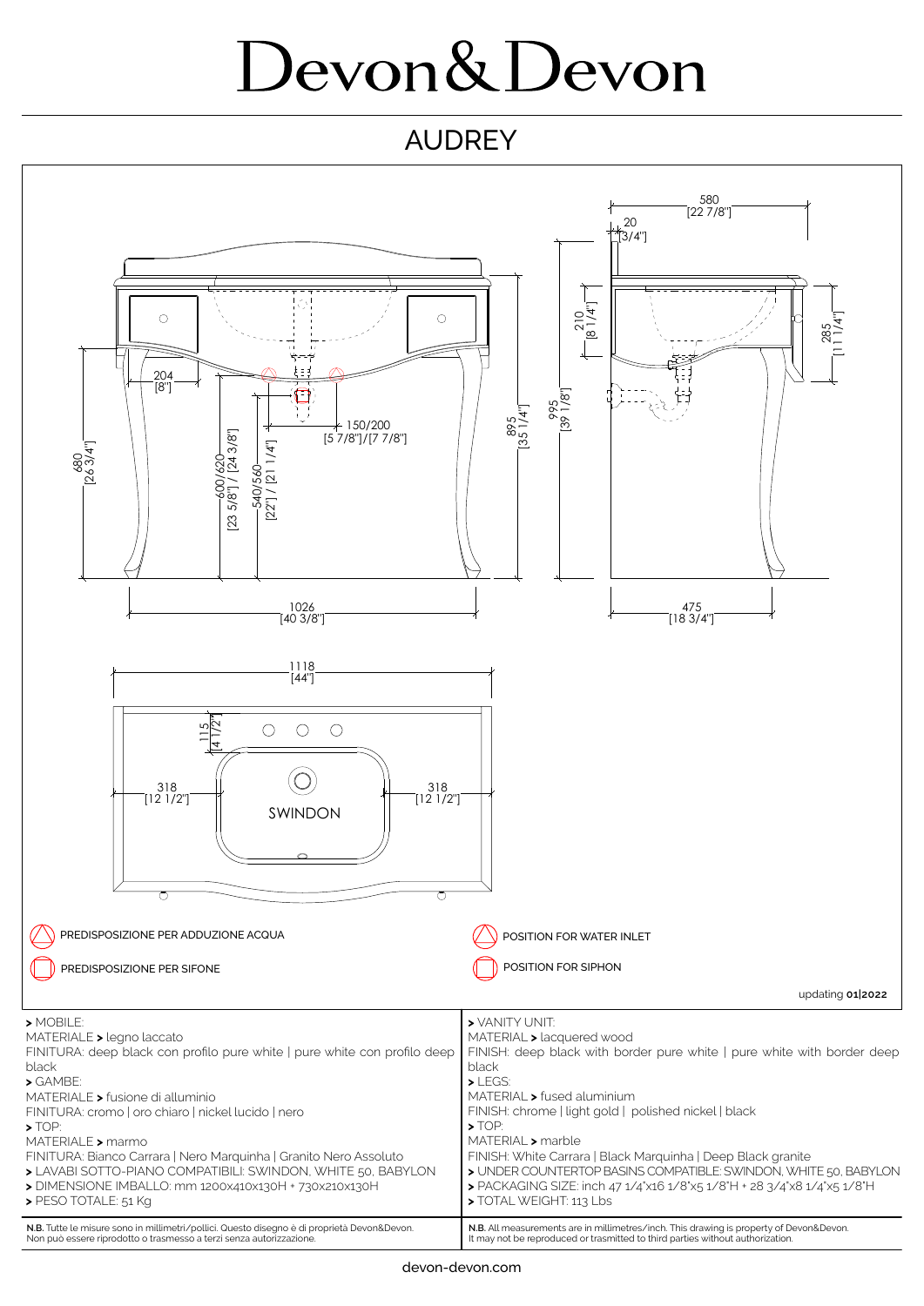## Devon&Devon

## AUDREY